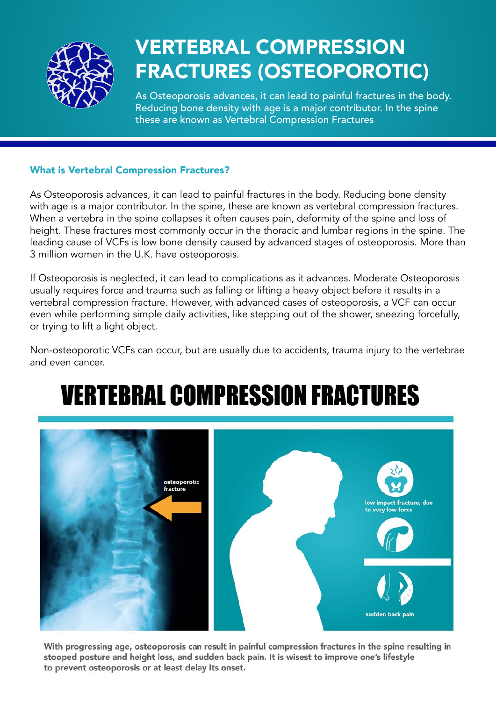

## VERTEBRAL COMPRESSION FRACTURES (OSTEOPOROTIC)

As Osteoporosis advances, it can lead to painful fractures in the body. Reducing bone density with age is a major contributor. In the spine these are known as Vertebral Compression Fractures

### What is Vertebral Compression Fractures?

As Osteoporosis advances, it can lead to painful fractures in the body. Reducing bone density with age is a major contributor. In the spine, these are known as vertebral compression fractures. When a vertebra in the spine collapses it often causes pain, deformity of the spine and loss of height. These fractures most commonly occur in the thoracic and lumbar regions in the spine. The leading cause of VCFs is low bone density caused by advanced stages of osteoporosis. More than 3 million women in the U.K. have osteoporosis.

If Osteoporosis is neglected, it can lead to complications as it advances. Moderate Osteoporosis usually requires force and trauma such as falling or lifting a heavy object before it results in a vertebral compression fracture. However, with advanced cases of osteoporosis, a VCF can occur even while performing simple daily activities, like stepping out of the shower, sneezing forcefully, or trying to lift a light object.

Non-osteoporotic VCFs can occur, but are usually due to accidents, trauma injury to the vertebrae and even cancer.

## **VERTEBRAL COMPRESSION FRACTURES**



With progressing age, osteoporosis can result in painful compression fractures in the spine resulting in stooped posture and height loss, and sudden back pain. It is wisest to improve one's lifestyle to prevent osteoporosis or at least delay its onset.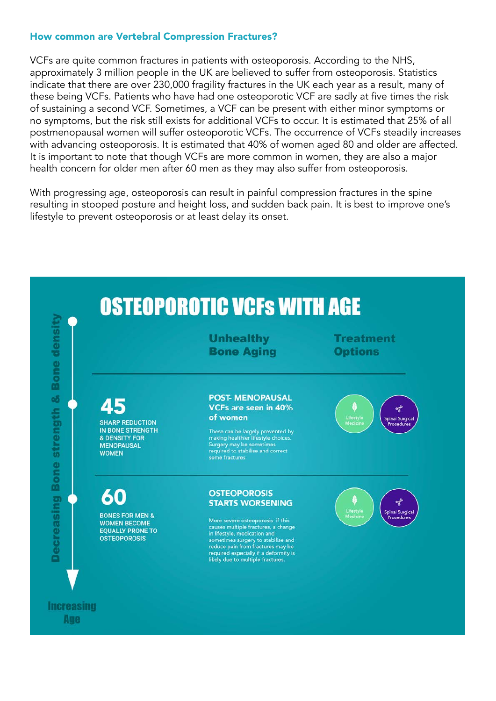### How common are Vertebral Compression Fractures?

VCFs are quite common fractures in patients with osteoporosis. According to the NHS, approximately 3 million people in the UK are believed to suffer from osteoporosis. Statistics indicate that there are over 230,000 fragility fractures in the UK each year as a result, many of these being VCFs. Patients who have had one osteoporotic VCF are sadly at five times the risk of sustaining a second VCF. Sometimes, a VCF can be present with either minor symptoms or no symptoms, but the risk still exists for additional VCFs to occur. It is estimated that 25% of all postmenopausal women will suffer osteoporotic VCFs. The occurrence of VCFs steadily increases with advancing osteoporosis. It is estimated that 40% of women aged 80 and older are affected. It is important to note that though VCFs are more common in women, they are also a major health concern for older men after 60 men as they may also suffer from osteoporosis.

With progressing age, osteoporosis can result in painful compression fractures in the spine resulting in stooped posture and height loss, and sudden back pain. It is best to improve one's lifestyle to prevent osteoporosis or at least delay its onset.

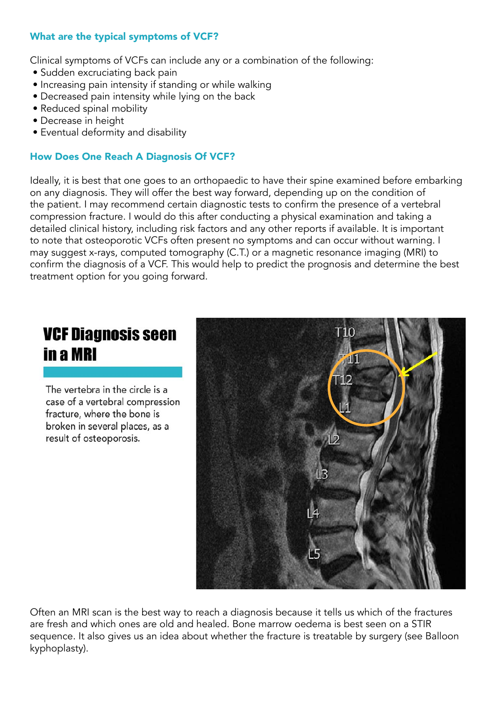### What are the typical symptoms of VCF?

Clinical symptoms of VCFs can include any or a combination of the following:

- Sudden excruciating back pain
- Increasing pain intensity if standing or while walking
- Decreased pain intensity while lying on the back
- Reduced spinal mobility
- Decrease in height
- Eventual deformity and disability

### How Does One Reach A Diagnosis Of VCF?

Ideally, it is best that one goes to an orthopaedic to have their spine examined before embarking on any diagnosis. They will offer the best way forward, depending up on the condition of the patient. I may recommend certain diagnostic tests to confirm the presence of a vertebral compression fracture. I would do this after conducting a physical examination and taking a detailed clinical history, including risk factors and any other reports if available. It is important to note that osteoporotic VCFs often present no symptoms and can occur without warning. I may suggest x-rays, computed tomography (C.T.) or a magnetic resonance imaging (MRI) to confirm the diagnosis of a VCF. This would help to predict the prognosis and determine the best treatment option for you going forward.

### **VCF Diagnosis seen** in a MRI

The vertebra in the circle is a case of a vertebral compression fracture, where the bone is broken in several places, as a result of osteoporosis.



Often an MRI scan is the best way to reach a diagnosis because it tells us which of the fractures are fresh and which ones are old and healed. Bone marrow oedema is best seen on a STIR sequence. It also gives us an idea about whether the fracture is treatable by surgery (see Balloon kyphoplasty).